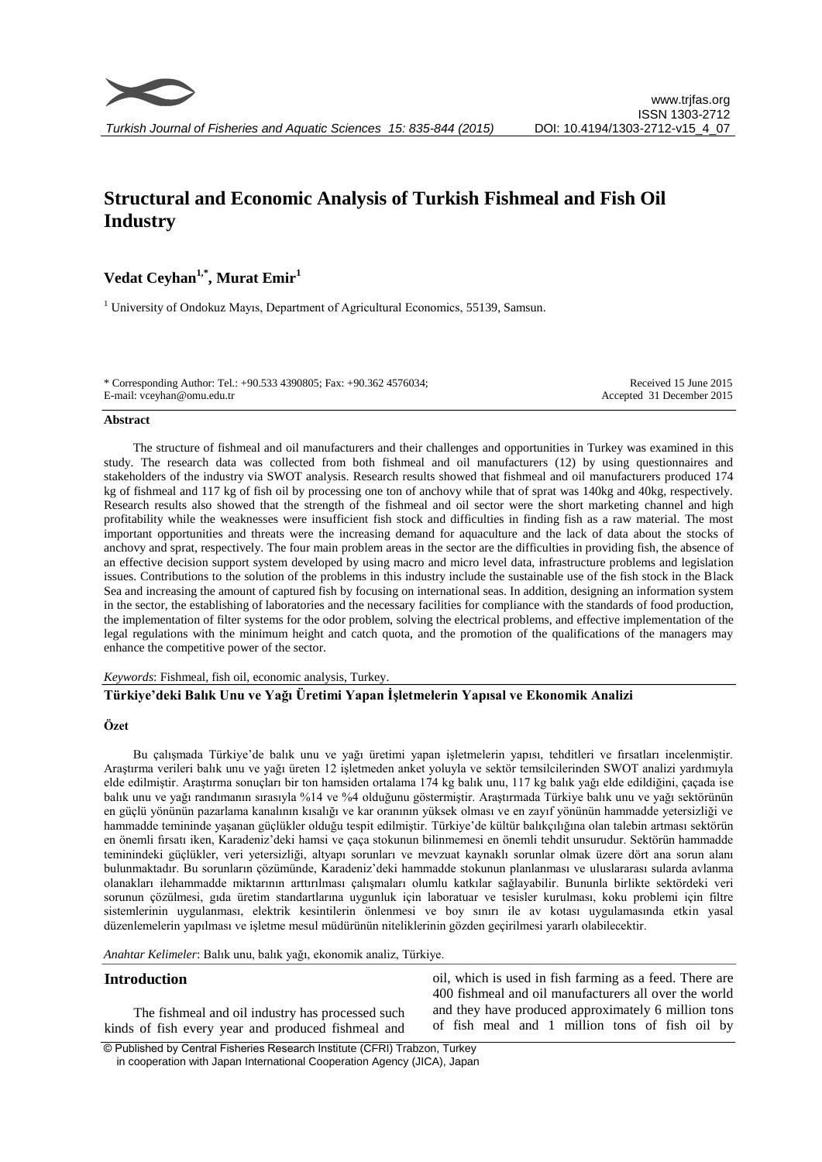

# **Structural and Economic Analysis of Turkish Fishmeal and Fish Oil Industry**

## **Vedat Ceyhan1,\* , Murat Emir<sup>1</sup>**

<sup>1</sup> University of Ondokuz Mayıs, Department of Agricultural Economics, 55139, Samsun.

\* Corresponding Author: Tel.: +90.533 4390805; Fax: +90.362 4576034; E-mail: vceyhan@omu.edu.tr

Received 15 June 2015 Accepted 31 December 2015

#### **Abstract**

The structure of fishmeal and oil manufacturers and their challenges and opportunities in Turkey was examined in this study. The research data was collected from both fishmeal and oil manufacturers (12) by using questionnaires and stakeholders of the industry via SWOT analysis. Research results showed that fishmeal and oil manufacturers produced 174 kg of fishmeal and 117 kg of fish oil by processing one ton of anchovy while that of sprat was 140kg and 40kg, respectively. Research results also showed that the strength of the fishmeal and oil sector were the short marketing channel and high profitability while the weaknesses were insufficient fish stock and difficulties in finding fish as a raw material. The most important opportunities and threats were the increasing demand for aquaculture and the lack of data about the stocks of anchovy and sprat, respectively. The four main problem areas in the sector are the difficulties in providing fish, the absence of an effective decision support system developed by using macro and micro level data, infrastructure problems and legislation issues. Contributions to the solution of the problems in this industry include the sustainable use of the fish stock in the Black Sea and increasing the amount of captured fish by focusing on international seas. In addition, designing an information system in the sector, the establishing of laboratories and the necessary facilities for compliance with the standards of food production, the implementation of filter systems for the odor problem, solving the electrical problems, and effective implementation of the legal regulations with the minimum height and catch quota, and the promotion of the qualifications of the managers may enhance the competitive power of the sector.

*Keywords*: Fishmeal, fish oil, economic analysis, Turkey.

## **Türkiye'deki Balık Unu ve Yağı Üretimi Yapan İşletmelerin Yapısal ve Ekonomik Analizi**

## **Özet**

Bu çalışmada Türkiye'de balık unu ve yağı üretimi yapan işletmelerin yapısı, tehditleri ve fırsatları incelenmiştir. Araştırma verileri balık unu ve yağı üreten 12 işletmeden anket yoluyla ve sektör temsilcilerinden SWOT analizi yardımıyla elde edilmiştir. Araştırma sonuçları bir ton hamsiden ortalama 174 kg balık unu, 117 kg balık yağı elde edildiğini, çaçada ise balık unu ve yağı randımanın sırasıyla %14 ve %4 olduğunu göstermiştir. Araştırmada Türkiye balık unu ve yağı sektörünün en güçlü yönünün pazarlama kanalının kısalığı ve kar oranının yüksek olması ve en zayıf yönünün hammadde yetersizliği ve hammadde temininde yaşanan güçlükler olduğu tespit edilmiştir. Türkiye'de kültür balıkçılığına olan talebin artması sektörün en önemli fırsatı iken, Karadeniz'deki hamsi ve çaça stokunun bilinmemesi en önemli tehdit unsurudur. Sektörün hammadde teminindeki güçlükler, veri yetersizliği, altyapı sorunları ve mevzuat kaynaklı sorunlar olmak üzere dört ana sorun alanı bulunmaktadır. Bu sorunların çözümünde, Karadeniz'deki hammadde stokunun planlanması ve uluslararası sularda avlanma olanakları ilehammadde miktarının arttırılması çalışmaları olumlu katkılar sağlayabilir. Bununla birlikte sektördeki veri sorunun çözülmesi, gıda üretim standartlarına uygunluk için laboratuar ve tesisler kurulması, koku problemi için filtre sistemlerinin uygulanması, elektrik kesintilerin önlenmesi ve boy sınırı ile av kotası uygulamasında etkin yasal düzenlemelerin yapılması ve işletme mesul müdürünün niteliklerinin gözden geçirilmesi yararlı olabilecektir.

*Anahtar Kelimeler*: Balık unu, balık yağı, ekonomik analiz, Türkiye.

#### **Introduction**

The fishmeal and oil industry has processed such kinds of fish every year and produced fishmeal and

oil, which is used in fish farming as a feed. There are 400 fishmeal and oil manufacturers all over the world and they have produced approximately 6 million tons of fish meal and 1 million tons of fish oil by

© Published by Central Fisheries Research Institute (CFRI) Trabzon, Turkey in cooperation with Japan International Cooperation Agency (JICA), Japan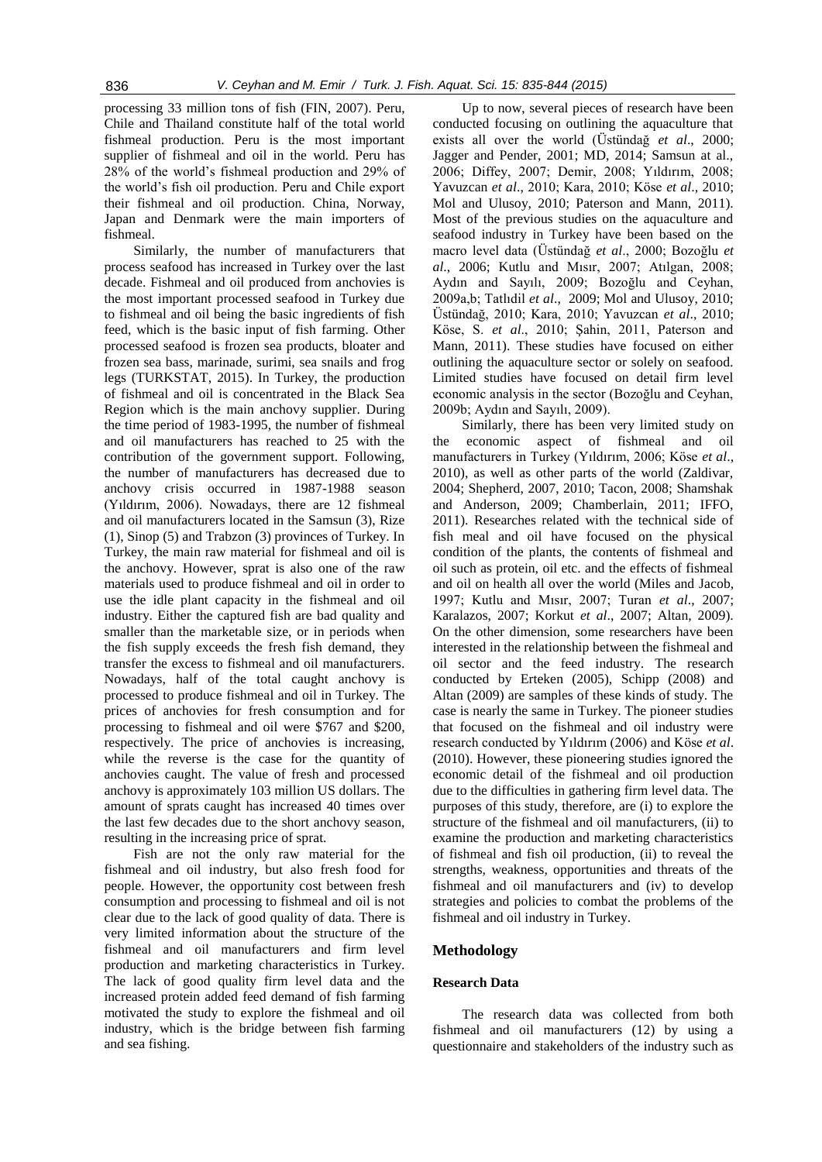processing 33 million tons of fish (FIN, 2007). Peru, Chile and Thailand constitute half of the total world fishmeal production. Peru is the most important supplier of fishmeal and oil in the world. Peru has 28% of the world's fishmeal production and 29% of the world's fish oil production. Peru and Chile export their fishmeal and oil production. China, Norway, Japan and Denmark were the main importers of fishmeal.

Similarly, the number of manufacturers that process seafood has increased in Turkey over the last decade. Fishmeal and oil produced from anchovies is the most important processed seafood in Turkey due to fishmeal and oil being the basic ingredients of fish feed, which is the basic input of fish farming. Other processed seafood is frozen sea products, bloater and frozen sea bass, marinade, surimi, sea snails and frog legs (TURKSTAT, 2015). In Turkey, the production of fishmeal and oil is concentrated in the Black Sea Region which is the main anchovy supplier. During the time period of 1983-1995, the number of fishmeal and oil manufacturers has reached to 25 with the contribution of the government support. Following, the number of manufacturers has decreased due to anchovy crisis occurred in 1987-1988 season (Yıldırım, 2006). Nowadays, there are 12 fishmeal and oil manufacturers located in the Samsun (3), Rize (1), Sinop (5) and Trabzon (3) provinces of Turkey. In Turkey, the main raw material for fishmeal and oil is the anchovy. However, sprat is also one of the raw materials used to produce fishmeal and oil in order to use the idle plant capacity in the fishmeal and oil industry. Either the captured fish are bad quality and smaller than the marketable size, or in periods when the fish supply exceeds the fresh fish demand, they transfer the excess to fishmeal and oil manufacturers. Nowadays, half of the total caught anchovy is processed to produce fishmeal and oil in Turkey. The prices of anchovies for fresh consumption and for processing to fishmeal and oil were \$767 and \$200, respectively. The price of anchovies is increasing, while the reverse is the case for the quantity of anchovies caught. The value of fresh and processed anchovy is approximately 103 million US dollars. The amount of sprats caught has increased 40 times over the last few decades due to the short anchovy season, resulting in the increasing price of sprat.

Fish are not the only raw material for the fishmeal and oil industry, but also fresh food for people. However, the opportunity cost between fresh consumption and processing to fishmeal and oil is not clear due to the lack of good quality of data. There is very limited information about the structure of the fishmeal and oil manufacturers and firm level production and marketing characteristics in Turkey. The lack of good quality firm level data and the increased protein added feed demand of fish farming motivated the study to explore the fishmeal and oil industry, which is the bridge between fish farming and sea fishing.

Up to now, several pieces of research have been conducted focusing on outlining the aquaculture that exists all over the world (Üstündağ *et al*., 2000; Jagger and Pender, 2001; MD, 2014; Samsun at al., 2006; Diffey, 2007; Demir, 2008; Yıldırım, 2008; Yavuzcan *et al*., 2010; Kara, 2010; Köse *et al*., 2010; Mol and Ulusoy, 2010; Paterson and Mann, 2011). Most of the previous studies on the aquaculture and seafood industry in Turkey have been based on the macro level data (Üstündağ *et al*., 2000; Bozoğlu *et al*., 2006; Kutlu and Mısır, 2007; Atılgan, 2008; Aydın and Sayılı, 2009; Bozoğlu and Ceyhan, 2009a,b; Tatlıdil *et al*., 2009; Mol and Ulusoy, 2010; Üstündağ, 2010; Kara, 2010; Yavuzcan *et al*., 2010; Köse, S. *et al*., 2010; Şahin, 2011, Paterson and Mann, 2011). These studies have focused on either outlining the aquaculture sector or solely on seafood. Limited studies have focused on detail firm level economic analysis in the sector (Bozoğlu and Ceyhan, 2009b; Aydın and Sayılı, 2009).

Similarly, there has been very limited study on the economic aspect of fishmeal and oil manufacturers in Turkey (Yıldırım, 2006; Köse *et al*., 2010), as well as other parts of the world (Zaldivar, 2004; Shepherd, 2007, 2010; Tacon, 2008; Shamshak and Anderson, 2009; Chamberlain, 2011; IFFO, 2011). Researches related with the technical side of fish meal and oil have focused on the physical condition of the plants, the contents of fishmeal and oil such as protein, oil etc. and the effects of fishmeal and oil on health all over the world (Miles and Jacob, 1997; Kutlu and Mısır, 2007; Turan *et al*., 2007; Karalazos, 2007; Korkut *et al*., 2007; Altan, 2009). On the other dimension, some researchers have been interested in the relationship between the fishmeal and oil sector and the feed industry. The research conducted by Erteken (2005), Schipp (2008) and Altan (2009) are samples of these kinds of study. The case is nearly the same in Turkey. The pioneer studies that focused on the fishmeal and oil industry were research conducted by Yıldırım (2006) and Köse *et al*. (2010). However, these pioneering studies ignored the economic detail of the fishmeal and oil production due to the difficulties in gathering firm level data. The purposes of this study, therefore, are (i) to explore the structure of the fishmeal and oil manufacturers, (ii) to examine the production and marketing characteristics of fishmeal and fish oil production, (ii) to reveal the strengths, weakness, opportunities and threats of the fishmeal and oil manufacturers and (iv) to develop strategies and policies to combat the problems of the fishmeal and oil industry in Turkey.

### **Methodology**

#### **Research Data**

The research data was collected from both fishmeal and oil manufacturers (12) by using a questionnaire and stakeholders of the industry such as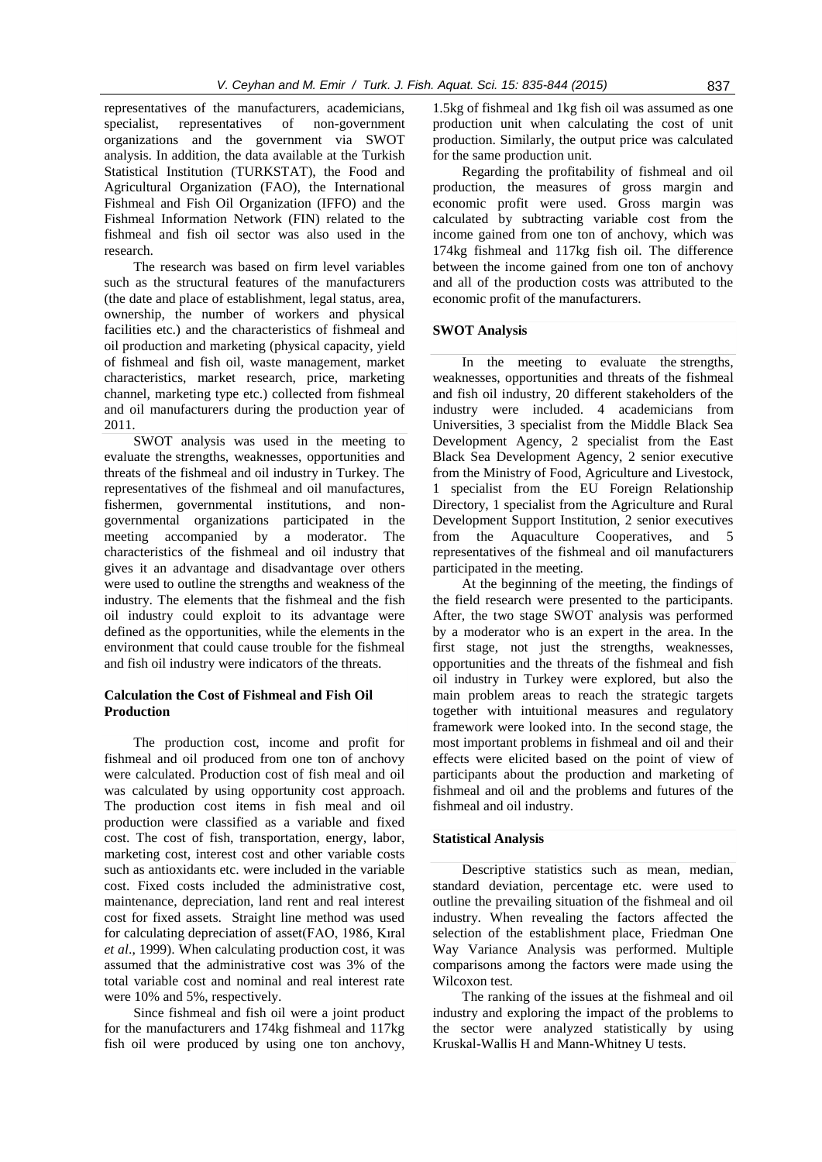representatives of the manufacturers, academicians, specialist, representatives of non-government organizations and the government via SWOT analysis. In addition, the data available at the Turkish Statistical Institution (TURKSTAT), the Food and Agricultural Organization (FAO), the International Fishmeal and Fish Oil Organization (IFFO) and the Fishmeal Information Network (FIN) related to the fishmeal and fish oil sector was also used in the research.

The research was based on firm level variables such as the structural features of the manufacturers (the date and place of establishment, legal status, area, ownership, the number of workers and physical facilities etc.) and the characteristics of fishmeal and oil production and marketing (physical capacity, yield of fishmeal and fish oil, waste management, market characteristics, market research, price, marketing channel, marketing type etc.) collected from fishmeal and oil manufacturers during the production year of 2011.

SWOT analysis was used in the meeting to evaluate the strengths, weaknesses, opportunities and threats of the fishmeal and oil industry in Turkey. The representatives of the fishmeal and oil manufactures, fishermen, governmental institutions, and nongovernmental organizations participated in the meeting accompanied by a moderator. The characteristics of the fishmeal and oil industry that gives it an advantage and disadvantage over others were used to outline the strengths and weakness of the industry. The elements that the fishmeal and the fish oil industry could exploit to its advantage were defined as the opportunities, while the elements in the environment that could cause trouble for the fishmeal and fish oil industry were indicators of the threats.

#### **Calculation the Cost of Fishmeal and Fish Oil Production**

The production cost, income and profit for fishmeal and oil produced from one ton of anchovy were calculated. Production cost of fish meal and oil was calculated by using opportunity cost approach. The production cost items in fish meal and oil production were classified as a variable and fixed cost. The cost of fish, transportation, energy, labor, marketing cost, interest cost and other variable costs such as antioxidants etc. were included in the variable cost. Fixed costs included the administrative cost, maintenance, depreciation, land rent and real interest cost for fixed assets. Straight line method was used for calculating depreciation of asset(FAO, 1986, Kıral *et al*., 1999). When calculating production cost, it was assumed that the administrative cost was 3% of the total variable cost and nominal and real interest rate were 10% and 5%, respectively.

Since fishmeal and fish oil were a joint product for the manufacturers and 174kg fishmeal and 117kg fish oil were produced by using one ton anchovy, 1.5kg of fishmeal and 1kg fish oil was assumed as one production unit when calculating the cost of unit production. Similarly, the output price was calculated for the same production unit.

Regarding the profitability of fishmeal and oil production, the measures of gross margin and economic profit were used. Gross margin was calculated by subtracting variable cost from the income gained from one ton of anchovy, which was 174kg fishmeal and 117kg fish oil. The difference between the income gained from one ton of anchovy and all of the production costs was attributed to the economic profit of the manufacturers.

#### **SWOT Analysis**

In the meeting to evaluate the strengths, weaknesses, opportunities and threats of the fishmeal and fish oil industry, 20 different stakeholders of the industry were included. 4 academicians from Universities, 3 specialist from the Middle Black Sea Development Agency, 2 specialist from the East Black Sea Development Agency, 2 senior executive from the Ministry of Food, Agriculture and Livestock, 1 specialist from the EU Foreign Relationship Directory, 1 specialist from the Agriculture and Rural Development Support Institution, 2 senior executives from the Aquaculture Cooperatives, and 5 representatives of the fishmeal and oil manufacturers participated in the meeting.

At the beginning of the meeting, the findings of the field research were presented to the participants. After, the two stage SWOT analysis was performed by a moderator who is an expert in the area. In the first stage, not just the strengths, weaknesses, opportunities and the threats of the fishmeal and fish oil industry in Turkey were explored, but also the main problem areas to reach the strategic targets together with intuitional measures and regulatory framework were looked into. In the second stage, the most important problems in fishmeal and oil and their effects were elicited based on the point of view of participants about the production and marketing of fishmeal and oil and the problems and futures of the fishmeal and oil industry.

#### **Statistical Analysis**

Descriptive statistics such as mean, median, standard deviation, percentage etc. were used to outline the prevailing situation of the fishmeal and oil industry. When revealing the factors affected the selection of the establishment place, Friedman One Way Variance Analysis was performed. Multiple comparisons among the factors were made using the Wilcoxon test.

The ranking of the issues at the fishmeal and oil industry and exploring the impact of the problems to the sector were analyzed statistically by using Kruskal-Wallis H and Mann-Whitney U tests.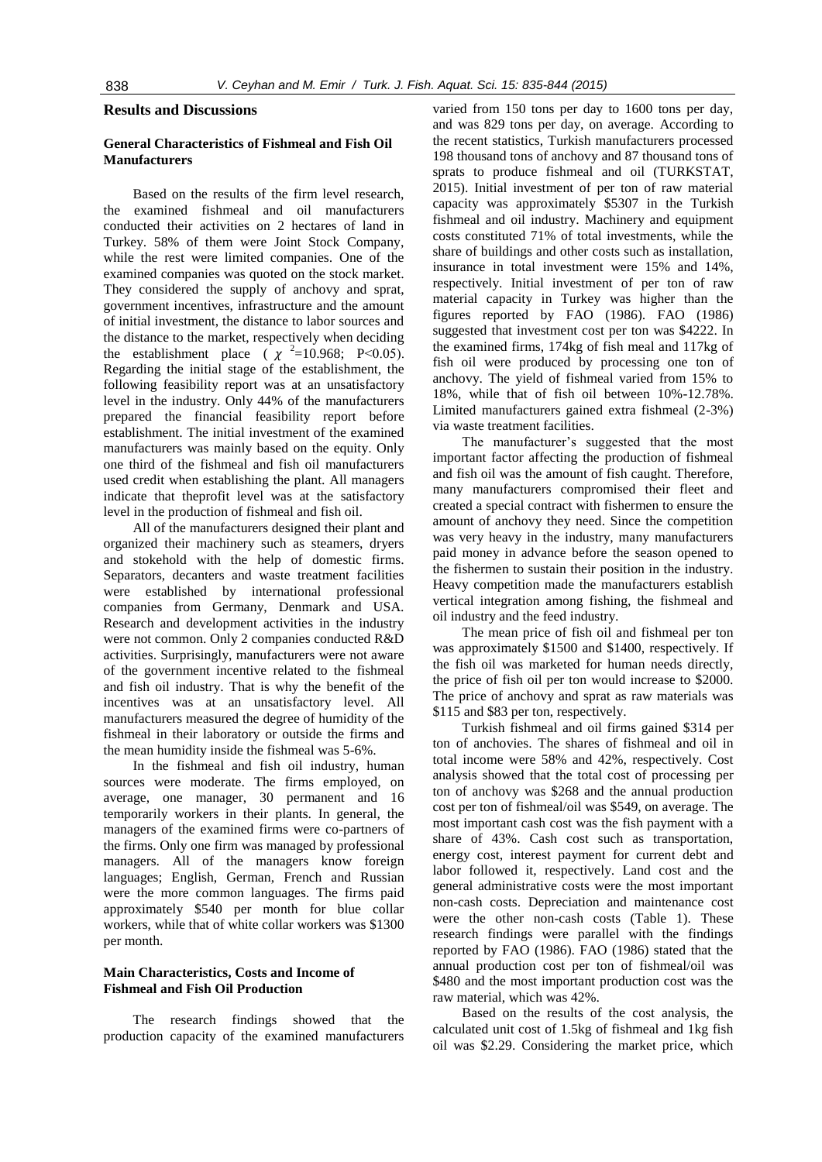## **Results and Discussions**

## **General Characteristics of Fishmeal and Fish Oil Manufacturers**

Based on the results of the firm level research, the examined fishmeal and oil manufacturers conducted their activities on 2 hectares of land in Turkey. 58% of them were Joint Stock Company, while the rest were limited companies. One of the examined companies was quoted on the stock market. They considered the supply of anchovy and sprat, government incentives, infrastructure and the amount of initial investment, the distance to labor sources and the distance to the market, respectively when deciding the establishment place  $(\chi^2=10.968; P<0.05)$ . Regarding the initial stage of the establishment, the following feasibility report was at an unsatisfactory level in the industry. Only 44% of the manufacturers prepared the financial feasibility report before establishment. The initial investment of the examined manufacturers was mainly based on the equity. Only one third of the fishmeal and fish oil manufacturers used credit when establishing the plant. All managers indicate that theprofit level was at the satisfactory level in the production of fishmeal and fish oil.

All of the manufacturers designed their plant and organized their machinery such as steamers, dryers and stokehold with the help of domestic firms. Separators, decanters and waste treatment facilities were established by international professional companies from Germany, Denmark and USA. Research and development activities in the industry were not common. Only 2 companies conducted R&D activities. Surprisingly, manufacturers were not aware of the government incentive related to the fishmeal and fish oil industry. That is why the benefit of the incentives was at an unsatisfactory level. All manufacturers measured the degree of humidity of the fishmeal in their laboratory or outside the firms and the mean humidity inside the fishmeal was 5-6%.

In the fishmeal and fish oil industry, human sources were moderate. The firms employed, on average, one manager, 30 permanent and 16 temporarily workers in their plants. In general, the managers of the examined firms were co-partners of the firms. Only one firm was managed by professional managers. All of the managers know foreign languages; English, German, French and Russian were the more common languages. The firms paid approximately \$540 per month for blue collar workers, while that of white collar workers was \$1300 per month.

## **Main Characteristics, Costs and Income of Fishmeal and Fish Oil Production**

The research findings showed that the production capacity of the examined manufacturers

varied from 150 tons per day to 1600 tons per day, and was 829 tons per day, on average. According to the recent statistics, Turkish manufacturers processed 198 thousand tons of anchovy and 87 thousand tons of sprats to produce fishmeal and oil (TURKSTAT, 2015). Initial investment of per ton of raw material capacity was approximately \$5307 in the Turkish fishmeal and oil industry. Machinery and equipment costs constituted 71% of total investments, while the share of buildings and other costs such as installation, insurance in total investment were 15% and 14%, respectively. Initial investment of per ton of raw material capacity in Turkey was higher than the figures reported by FAO (1986). FAO (1986) suggested that investment cost per ton was \$4222. In the examined firms, 174kg of fish meal and 117kg of fish oil were produced by processing one ton of anchovy. The yield of fishmeal varied from 15% to 18%, while that of fish oil between 10%-12.78%. Limited manufacturers gained extra fishmeal (2-3%) via waste treatment facilities.

The manufacturer's suggested that the most important factor affecting the production of fishmeal and fish oil was the amount of fish caught. Therefore, many manufacturers compromised their fleet and created a special contract with fishermen to ensure the amount of anchovy they need. Since the competition was very heavy in the industry, many manufacturers paid money in advance before the season opened to the fishermen to sustain their position in the industry. Heavy competition made the manufacturers establish vertical integration among fishing, the fishmeal and oil industry and the feed industry.

The mean price of fish oil and fishmeal per ton was approximately \$1500 and \$1400, respectively. If the fish oil was marketed for human needs directly, the price of fish oil per ton would increase to \$2000. The price of anchovy and sprat as raw materials was \$115 and \$83 per ton, respectively.

Turkish fishmeal and oil firms gained \$314 per ton of anchovies. The shares of fishmeal and oil in total income were 58% and 42%, respectively. Cost analysis showed that the total cost of processing per ton of anchovy was \$268 and the annual production cost per ton of fishmeal/oil was \$549, on average. The most important cash cost was the fish payment with a share of 43%. Cash cost such as transportation, energy cost, interest payment for current debt and labor followed it, respectively. Land cost and the general administrative costs were the most important non-cash costs. Depreciation and maintenance cost were the other non-cash costs (Table 1). These research findings were parallel with the findings reported by FAO (1986). FAO (1986) stated that the annual production cost per ton of fishmeal/oil was \$480 and the most important production cost was the raw material, which was 42%.

Based on the results of the cost analysis, the calculated unit cost of 1.5kg of fishmeal and 1kg fish oil was \$2.29. Considering the market price, which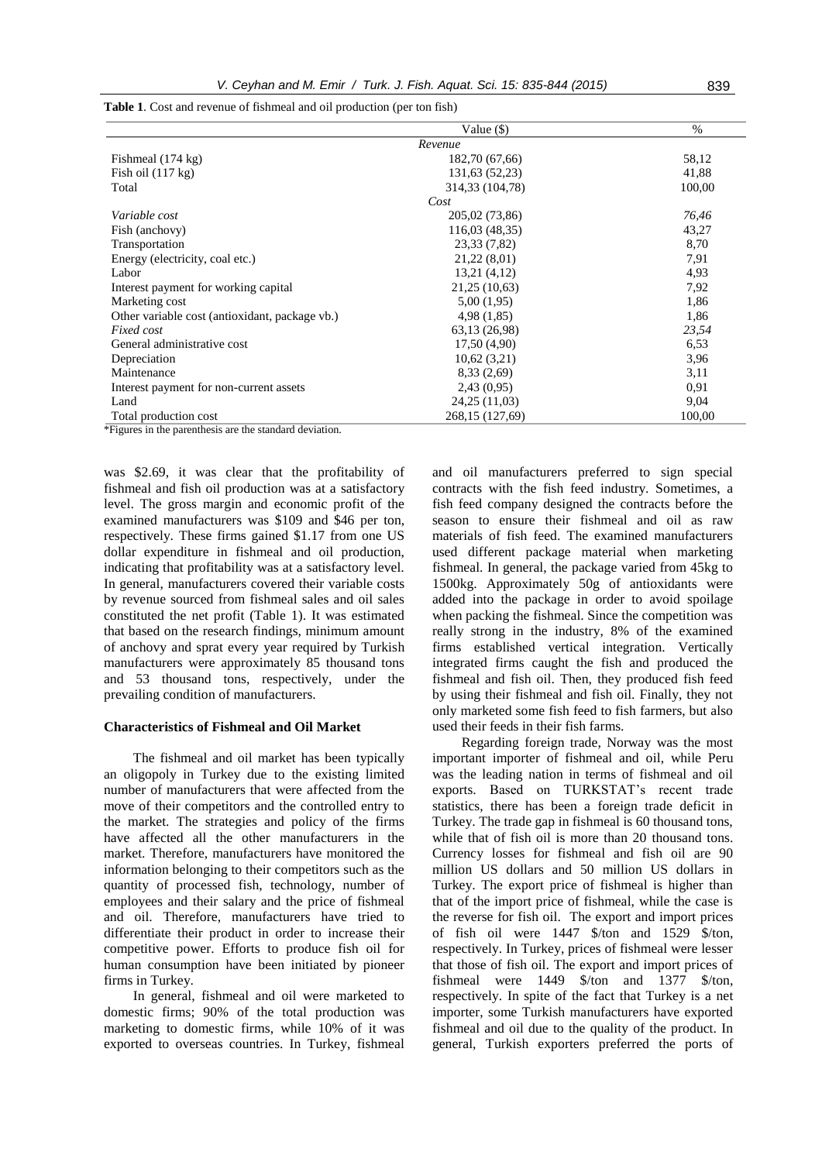|                                                | Value $(\$)$      | $\%$   |
|------------------------------------------------|-------------------|--------|
|                                                | Revenue           |        |
| Fishmeal $(174 \text{ kg})$                    | 182,70 (67,66)    | 58,12  |
| Fish oil $(117 \text{ kg})$                    | 131,63 (52,23)    | 41,88  |
| Total                                          | 314,33 (104,78)   | 100,00 |
|                                                | Cost              |        |
| Variable cost                                  | 205,02 (73,86)    | 76,46  |
| Fish (anchovy)                                 | 116,03 (48,35)    | 43,27  |
| Transportation                                 | 23,33 (7,82)      | 8,70   |
| Energy (electricity, coal etc.)                | 21,22(8,01)       | 7,91   |
| Labor                                          | 13,21 (4,12)      | 4,93   |
| Interest payment for working capital           | 21,25 (10,63)     | 7,92   |
| Marketing cost                                 | 5,00(1,95)        | 1,86   |
| Other variable cost (antioxidant, package vb.) | 4,98 (1,85)       | 1,86   |
| Fixed cost                                     | 63,13 (26,98)     | 23,54  |
| General administrative cost                    | 17,50(4,90)       | 6,53   |
| Depreciation                                   | 10,62(3,21)       | 3,96   |
| Maintenance                                    | 8,33(2,69)        | 3,11   |
| Interest payment for non-current assets        | 2,43(0,95)        | 0.91   |
| Land                                           | 24,25 (11,03)     | 9,04   |
| Total production cost                          | 268, 15 (127, 69) | 100,00 |

**Table 1**. Cost and revenue of fishmeal and oil production (per ton fish)

\*Figures in the parenthesis are the standard deviation.

was \$2.69, it was clear that the profitability of fishmeal and fish oil production was at a satisfactory level. The gross margin and economic profit of the examined manufacturers was \$109 and \$46 per ton, respectively. These firms gained \$1.17 from one US dollar expenditure in fishmeal and oil production, indicating that profitability was at a satisfactory level. In general, manufacturers covered their variable costs by revenue sourced from fishmeal sales and oil sales constituted the net profit (Table 1). It was estimated that based on the research findings, minimum amount of anchovy and sprat every year required by Turkish manufacturers were approximately 85 thousand tons and 53 thousand tons, respectively, under the prevailing condition of manufacturers.

#### **Characteristics of Fishmeal and Oil Market**

The fishmeal and oil market has been typically an oligopoly in Turkey due to the existing limited number of manufacturers that were affected from the move of their competitors and the controlled entry to the market. The strategies and policy of the firms have affected all the other manufacturers in the market. Therefore, manufacturers have monitored the information belonging to their competitors such as the quantity of processed fish, technology, number of employees and their salary and the price of fishmeal and oil. Therefore, manufacturers have tried to differentiate their product in order to increase their competitive power. Efforts to produce fish oil for human consumption have been initiated by pioneer firms in Turkey.

In general, fishmeal and oil were marketed to domestic firms; 90% of the total production was marketing to domestic firms, while 10% of it was exported to overseas countries. In Turkey, fishmeal and oil manufacturers preferred to sign special contracts with the fish feed industry. Sometimes, a fish feed company designed the contracts before the season to ensure their fishmeal and oil as raw materials of fish feed. The examined manufacturers used different package material when marketing fishmeal. In general, the package varied from 45kg to 1500kg. Approximately 50g of antioxidants were added into the package in order to avoid spoilage when packing the fishmeal. Since the competition was really strong in the industry, 8% of the examined firms established vertical integration. Vertically integrated firms caught the fish and produced the fishmeal and fish oil. Then, they produced fish feed by using their fishmeal and fish oil. Finally, they not only marketed some fish feed to fish farmers, but also used their feeds in their fish farms.

Regarding foreign trade, Norway was the most important importer of fishmeal and oil, while Peru was the leading nation in terms of fishmeal and oil exports. Based on TURKSTAT's recent trade statistics, there has been a foreign trade deficit in Turkey. The trade gap in fishmeal is 60 thousand tons, while that of fish oil is more than 20 thousand tons. Currency losses for fishmeal and fish oil are 90 million US dollars and 50 million US dollars in Turkey. The export price of fishmeal is higher than that of the import price of fishmeal, while the case is the reverse for fish oil. The export and import prices of fish oil were 1447 \$/ton and 1529 \$/ton, respectively. In Turkey, prices of fishmeal were lesser that those of fish oil. The export and import prices of fishmeal were 1449 \$/ton and 1377 \$/ton, respectively. In spite of the fact that Turkey is a net importer, some Turkish manufacturers have exported fishmeal and oil due to the quality of the product. In general, Turkish exporters preferred the ports of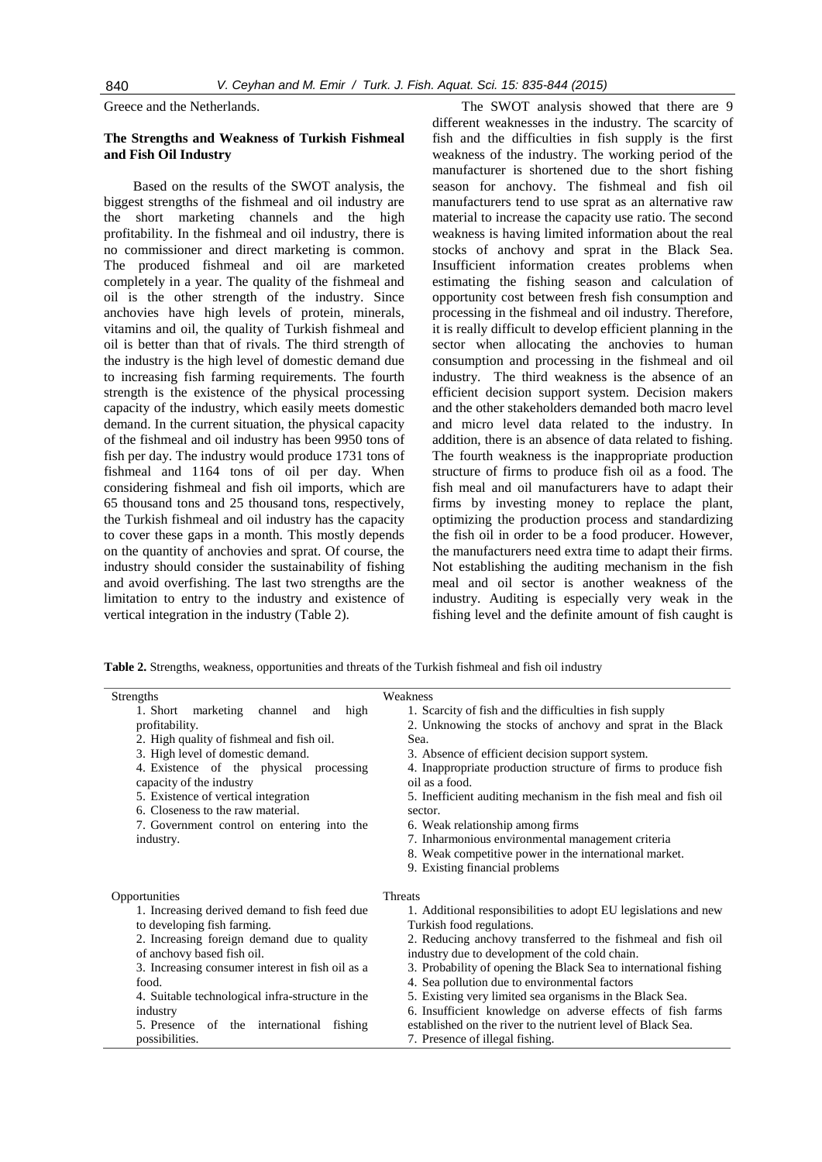Greece and the Netherlands.

## **The Strengths and Weakness of Turkish Fishmeal and Fish Oil Industry**

Based on the results of the SWOT analysis, the biggest strengths of the fishmeal and oil industry are the short marketing channels and the high profitability. In the fishmeal and oil industry, there is no commissioner and direct marketing is common. The produced fishmeal and oil are marketed completely in a year. The quality of the fishmeal and oil is the other strength of the industry. Since anchovies have high levels of protein, minerals, vitamins and oil, the quality of Turkish fishmeal and oil is better than that of rivals. The third strength of the industry is the high level of domestic demand due to increasing fish farming requirements. The fourth strength is the existence of the physical processing capacity of the industry, which easily meets domestic demand. In the current situation, the physical capacity of the fishmeal and oil industry has been 9950 tons of fish per day. The industry would produce 1731 tons of fishmeal and 1164 tons of oil per day. When considering fishmeal and fish oil imports, which are 65 thousand tons and 25 thousand tons, respectively, the Turkish fishmeal and oil industry has the capacity to cover these gaps in a month. This mostly depends on the quantity of anchovies and sprat. Of course, the industry should consider the sustainability of fishing and avoid overfishing. The last two strengths are the limitation to entry to the industry and existence of vertical integration in the industry (Table 2).

The SWOT analysis showed that there are 9 different weaknesses in the industry. The scarcity of fish and the difficulties in fish supply is the first weakness of the industry. The working period of the manufacturer is shortened due to the short fishing season for anchovy. The fishmeal and fish oil manufacturers tend to use sprat as an alternative raw material to increase the capacity use ratio. The second weakness is having limited information about the real stocks of anchovy and sprat in the Black Sea. Insufficient information creates problems when estimating the fishing season and calculation of opportunity cost between fresh fish consumption and processing in the fishmeal and oil industry. Therefore, it is really difficult to develop efficient planning in the sector when allocating the anchovies to human consumption and processing in the fishmeal and oil industry. The third weakness is the absence of an efficient decision support system. Decision makers and the other stakeholders demanded both macro level and micro level data related to the industry. In addition, there is an absence of data related to fishing. The fourth weakness is the inappropriate production structure of firms to produce fish oil as a food. The fish meal and oil manufacturers have to adapt their firms by investing money to replace the plant, optimizing the production process and standardizing the fish oil in order to be a food producer. However, the manufacturers need extra time to adapt their firms. Not establishing the auditing mechanism in the fish meal and oil sector is another weakness of the industry. Auditing is especially very weak in the fishing level and the definite amount of fish caught is

**Table 2.** Strengths, weakness, opportunities and threats of the Turkish fishmeal and fish oil industry

| Strengths                                                                                                            | Weakness                                                        |  |
|----------------------------------------------------------------------------------------------------------------------|-----------------------------------------------------------------|--|
| 1. Short<br>channel<br>marketing<br>high<br>and                                                                      | 1. Scarcity of fish and the difficulties in fish supply         |  |
| profitability.                                                                                                       | 2. Unknowing the stocks of anchovy and sprat in the Black       |  |
| 2. High quality of fishmeal and fish oil.                                                                            | Sea.                                                            |  |
| 3. High level of domestic demand.                                                                                    | 3. Absence of efficient decision support system.                |  |
| 4. Existence of the physical processing                                                                              | 4. Inappropriate production structure of firms to produce fish  |  |
| capacity of the industry                                                                                             | oil as a food.                                                  |  |
| 5. Existence of vertical integration                                                                                 | 5. Inefficient auditing mechanism in the fish meal and fish oil |  |
| 6. Closeness to the raw material.                                                                                    | sector.                                                         |  |
| 7. Government control on entering into the                                                                           | 6. Weak relationship among firms                                |  |
| industry.                                                                                                            | 7. Inharmonious environmental management criteria               |  |
|                                                                                                                      | 8. Weak competitive power in the international market.          |  |
|                                                                                                                      | 9. Existing financial problems                                  |  |
| Opportunities                                                                                                        | <b>Threats</b>                                                  |  |
| 1. Increasing derived demand to fish feed due                                                                        | 1. Additional responsibilities to adopt EU legislations and new |  |
| to developing fish farming.                                                                                          | Turkish food regulations.                                       |  |
| 2. Increasing foreign demand due to quality                                                                          | 2. Reducing anchovy transferred to the fishmeal and fish oil    |  |
| of anchovy based fish oil.                                                                                           | industry due to development of the cold chain.                  |  |
| 3. Increasing consumer interest in fish oil as a<br>3. Probability of opening the Black Sea to international fishing |                                                                 |  |
| food.                                                                                                                | 4. Sea pollution due to environmental factors                   |  |
| 4. Suitable technological infra-structure in the                                                                     | 5. Existing very limited sea organisms in the Black Sea.        |  |
| industry                                                                                                             | 6. Insufficient knowledge on adverse effects of fish farms      |  |
| 5. Presence of the international<br>fishing                                                                          | established on the river to the nutrient level of Black Sea.    |  |
| possibilities.                                                                                                       | 7. Presence of illegal fishing.                                 |  |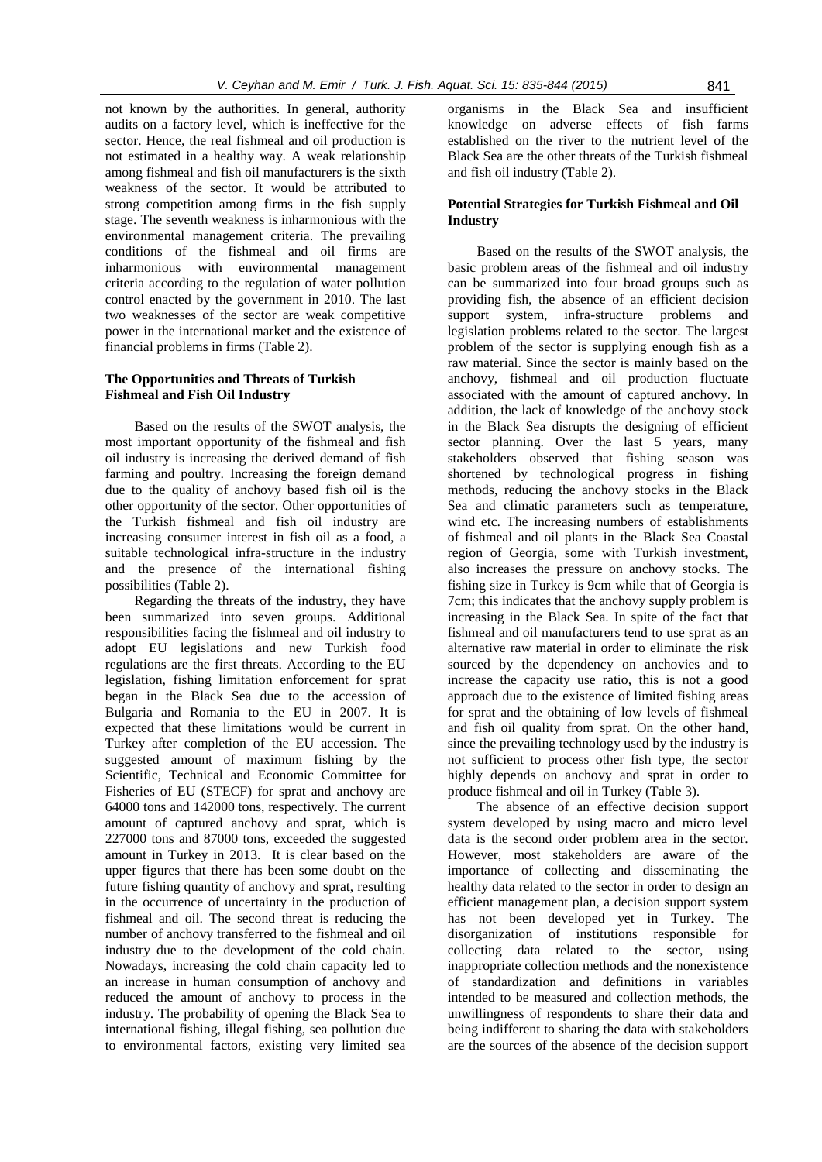not known by the authorities. In general, authority audits on a factory level, which is ineffective for the sector. Hence, the real fishmeal and oil production is not estimated in a healthy way. A weak relationship among fishmeal and fish oil manufacturers is the sixth weakness of the sector. It would be attributed to strong competition among firms in the fish supply stage. The seventh weakness is inharmonious with the environmental management criteria. The prevailing conditions of the fishmeal and oil firms are inharmonious with environmental management criteria according to the regulation of water pollution control enacted by the government in 2010. The last two weaknesses of the sector are weak competitive power in the international market and the existence of financial problems in firms (Table 2).

## **The Opportunities and Threats of Turkish Fishmeal and Fish Oil Industry**

Based on the results of the SWOT analysis, the most important opportunity of the fishmeal and fish oil industry is increasing the derived demand of fish farming and poultry. Increasing the foreign demand due to the quality of anchovy based fish oil is the other opportunity of the sector. Other opportunities of the Turkish fishmeal and fish oil industry are increasing consumer interest in fish oil as a food, a suitable technological infra-structure in the industry and the presence of the international fishing possibilities (Table 2).

Regarding the threats of the industry, they have been summarized into seven groups. Additional responsibilities facing the fishmeal and oil industry to adopt EU legislations and new Turkish food regulations are the first threats. According to the EU legislation, fishing limitation enforcement for sprat began in the Black Sea due to the accession of Bulgaria and Romania to the EU in 2007. It is expected that these limitations would be current in Turkey after completion of the EU accession. The suggested amount of maximum fishing by the Scientific, Technical and Economic Committee for Fisheries of EU (STECF) for sprat and anchovy are 64000 tons and 142000 tons, respectively. The current amount of captured anchovy and sprat, which is 227000 tons and 87000 tons, exceeded the suggested amount in Turkey in 2013. It is clear based on the upper figures that there has been some doubt on the future fishing quantity of anchovy and sprat, resulting in the occurrence of uncertainty in the production of fishmeal and oil. The second threat is reducing the number of anchovy transferred to the fishmeal and oil industry due to the development of the cold chain. Nowadays, increasing the cold chain capacity led to an increase in human consumption of anchovy and reduced the amount of anchovy to process in the industry. The probability of opening the Black Sea to international fishing, illegal fishing, sea pollution due to environmental factors, existing very limited sea

organisms in the Black Sea and insufficient knowledge on adverse effects of fish farms established on the river to the nutrient level of the Black Sea are the other threats of the Turkish fishmeal and fish oil industry (Table 2).

## **Potential Strategies for Turkish Fishmeal and Oil Industry**

Based on the results of the SWOT analysis, the basic problem areas of the fishmeal and oil industry can be summarized into four broad groups such as providing fish, the absence of an efficient decision support system, infra-structure problems and legislation problems related to the sector. The largest problem of the sector is supplying enough fish as a raw material. Since the sector is mainly based on the anchovy, fishmeal and oil production fluctuate associated with the amount of captured anchovy. In addition, the lack of knowledge of the anchovy stock in the Black Sea disrupts the designing of efficient sector planning. Over the last 5 years, many stakeholders observed that fishing season was shortened by technological progress in fishing methods, reducing the anchovy stocks in the Black Sea and climatic parameters such as temperature, wind etc. The increasing numbers of establishments of fishmeal and oil plants in the Black Sea Coastal region of Georgia, some with Turkish investment, also increases the pressure on anchovy stocks. The fishing size in Turkey is 9cm while that of Georgia is 7cm; this indicates that the anchovy supply problem is increasing in the Black Sea. In spite of the fact that fishmeal and oil manufacturers tend to use sprat as an alternative raw material in order to eliminate the risk sourced by the dependency on anchovies and to increase the capacity use ratio, this is not a good approach due to the existence of limited fishing areas for sprat and the obtaining of low levels of fishmeal and fish oil quality from sprat. On the other hand, since the prevailing technology used by the industry is not sufficient to process other fish type, the sector highly depends on anchovy and sprat in order to produce fishmeal and oil in Turkey (Table 3).

The absence of an effective decision support system developed by using macro and micro level data is the second order problem area in the sector. However, most stakeholders are aware of the importance of collecting and disseminating the healthy data related to the sector in order to design an efficient management plan, a decision support system has not been developed yet in Turkey. The disorganization of institutions responsible for collecting data related to the sector, using inappropriate collection methods and the nonexistence of standardization and definitions in variables intended to be measured and collection methods, the unwillingness of respondents to share their data and being indifferent to sharing the data with stakeholders are the sources of the absence of the decision support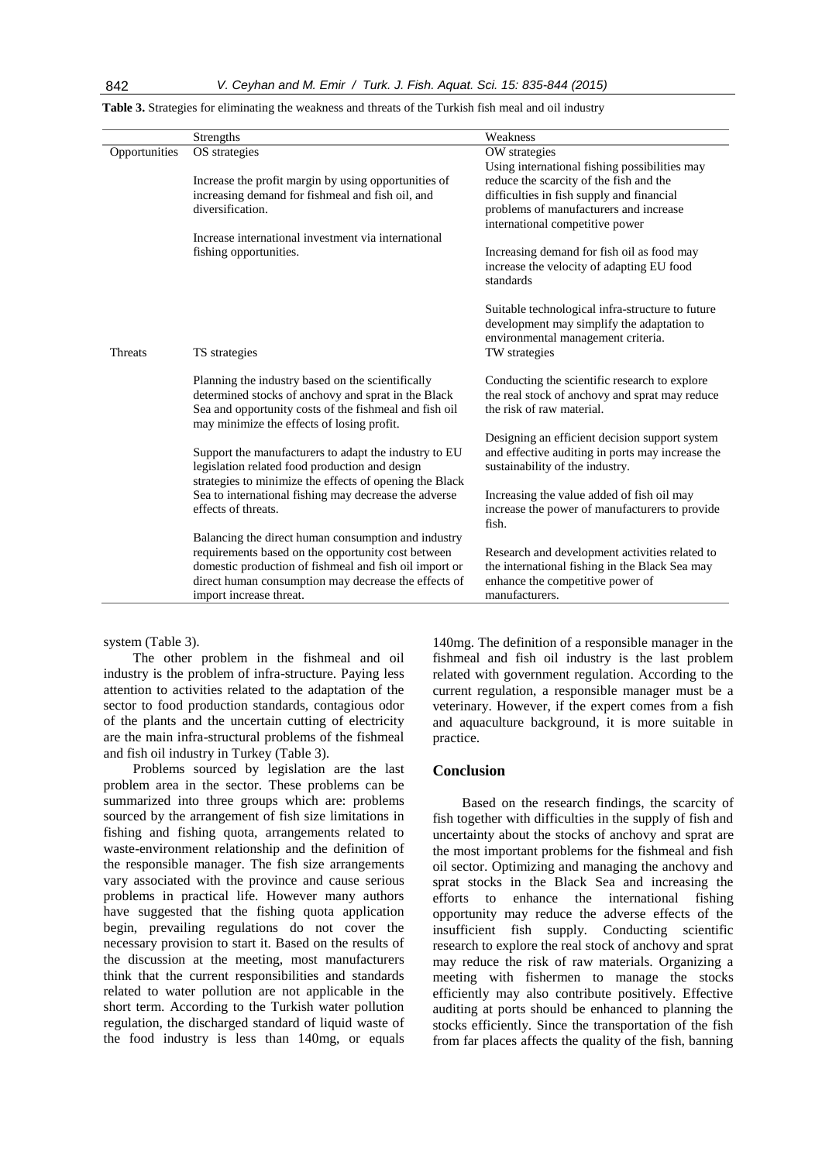|                | Strengths                                                                                                                                                                                                                                              | Weakness                                                                                                                                               |
|----------------|--------------------------------------------------------------------------------------------------------------------------------------------------------------------------------------------------------------------------------------------------------|--------------------------------------------------------------------------------------------------------------------------------------------------------|
| Opportunities  | OS strategies                                                                                                                                                                                                                                          | OW strategies                                                                                                                                          |
|                |                                                                                                                                                                                                                                                        | Using international fishing possibilities may                                                                                                          |
|                | Increase the profit margin by using opportunities of                                                                                                                                                                                                   | reduce the scarcity of the fish and the                                                                                                                |
|                | increasing demand for fishmeal and fish oil, and                                                                                                                                                                                                       | difficulties in fish supply and financial                                                                                                              |
|                | diversification.                                                                                                                                                                                                                                       | problems of manufacturers and increase<br>international competitive power                                                                              |
|                | Increase international investment via international                                                                                                                                                                                                    |                                                                                                                                                        |
|                | fishing opportunities.                                                                                                                                                                                                                                 | Increasing demand for fish oil as food may<br>increase the velocity of adapting EU food<br>standards                                                   |
| <b>Threats</b> | TS strategies                                                                                                                                                                                                                                          | Suitable technological infra-structure to future<br>development may simplify the adaptation to<br>environmental management criteria.<br>TW strategies  |
|                | Planning the industry based on the scientifically<br>determined stocks of anchovy and sprat in the Black<br>Sea and opportunity costs of the fishmeal and fish oil<br>may minimize the effects of losing profit.                                       | Conducting the scientific research to explore<br>the real stock of anchovy and sprat may reduce<br>the risk of raw material.                           |
|                | Support the manufacturers to adapt the industry to EU<br>legislation related food production and design<br>strategies to minimize the effects of opening the Black                                                                                     | Designing an efficient decision support system<br>and effective auditing in ports may increase the<br>sustainability of the industry.                  |
|                | Sea to international fishing may decrease the adverse<br>effects of threats.                                                                                                                                                                           | Increasing the value added of fish oil may<br>increase the power of manufacturers to provide<br>fish.                                                  |
|                | Balancing the direct human consumption and industry<br>requirements based on the opportunity cost between<br>domestic production of fishmeal and fish oil import or<br>direct human consumption may decrease the effects of<br>import increase threat. | Research and development activities related to<br>the international fishing in the Black Sea may<br>enhance the competitive power of<br>manufacturers. |

| Table 3. Strategies for eliminating the weakness and threats of the Turkish fish meal and oil industry |  |
|--------------------------------------------------------------------------------------------------------|--|
|                                                                                                        |  |

system (Table 3).

The other problem in the fishmeal and oil industry is the problem of infra-structure. Paying less attention to activities related to the adaptation of the sector to food production standards, contagious odor of the plants and the uncertain cutting of electricity are the main infra-structural problems of the fishmeal and fish oil industry in Turkey (Table 3).

Problems sourced by legislation are the last problem area in the sector. These problems can be summarized into three groups which are: problems sourced by the arrangement of fish size limitations in fishing and fishing quota, arrangements related to waste-environment relationship and the definition of the responsible manager. The fish size arrangements vary associated with the province and cause serious problems in practical life. However many authors have suggested that the fishing quota application begin, prevailing regulations do not cover the necessary provision to start it. Based on the results of the discussion at the meeting, most manufacturers think that the current responsibilities and standards related to water pollution are not applicable in the short term. According to the Turkish water pollution regulation, the discharged standard of liquid waste of the food industry is less than 140mg, or equals

140mg. The definition of a responsible manager in the fishmeal and fish oil industry is the last problem related with government regulation. According to the current regulation, a responsible manager must be a veterinary. However, if the expert comes from a fish and aquaculture background, it is more suitable in practice.

### **Conclusion**

Based on the research findings, the scarcity of fish together with difficulties in the supply of fish and uncertainty about the stocks of anchovy and sprat are the most important problems for the fishmeal and fish oil sector. Optimizing and managing the anchovy and sprat stocks in the Black Sea and increasing the efforts to enhance the international fishing opportunity may reduce the adverse effects of the insufficient fish supply. Conducting scientific research to explore the real stock of anchovy and sprat may reduce the risk of raw materials. Organizing a meeting with fishermen to manage the stocks efficiently may also contribute positively. Effective auditing at ports should be enhanced to planning the stocks efficiently. Since the transportation of the fish from far places affects the quality of the fish, banning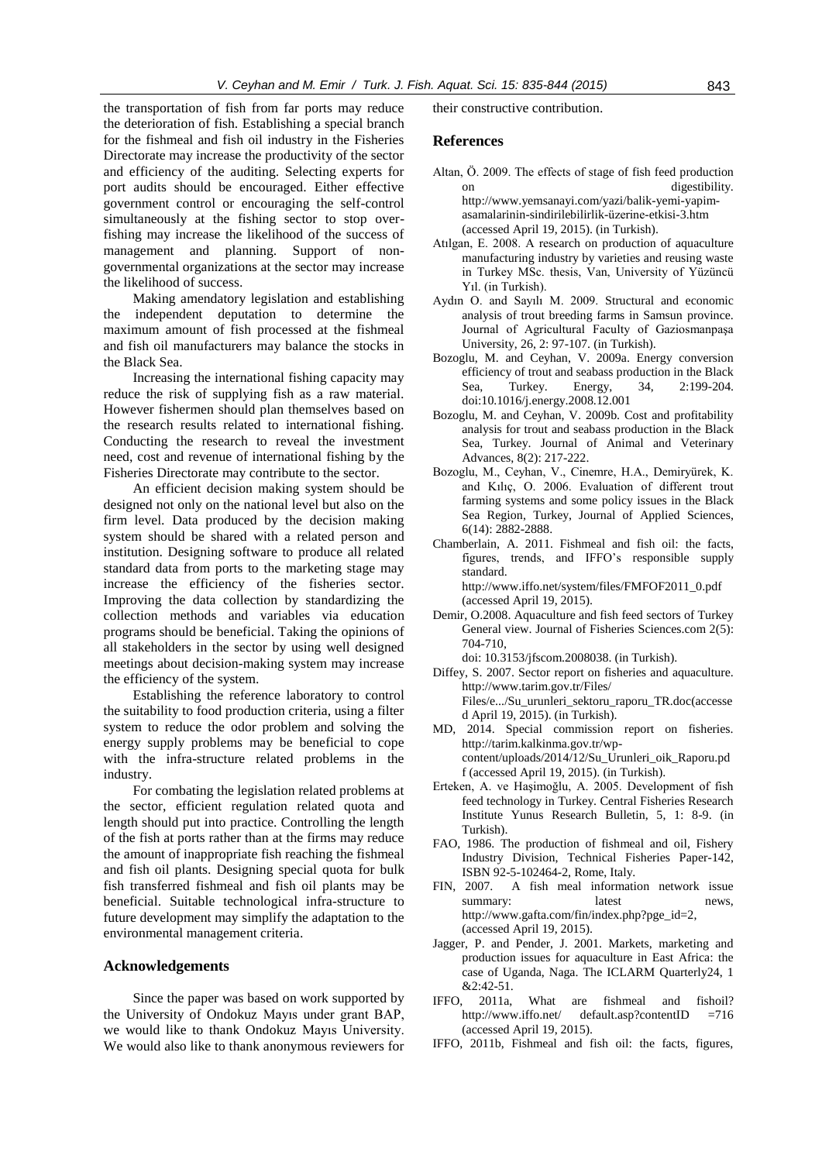the transportation of fish from far ports may reduce the deterioration of fish. Establishing a special branch for the fishmeal and fish oil industry in the Fisheries Directorate may increase the productivity of the sector and efficiency of the auditing. Selecting experts for port audits should be encouraged. Either effective government control or encouraging the self-control simultaneously at the fishing sector to stop overfishing may increase the likelihood of the success of management and planning. Support of nongovernmental organizations at the sector may increase the likelihood of success.

Making amendatory legislation and establishing the independent deputation to determine the maximum amount of fish processed at the fishmeal and fish oil manufacturers may balance the stocks in the Black Sea.

Increasing the international fishing capacity may reduce the risk of supplying fish as a raw material. However fishermen should plan themselves based on the research results related to international fishing. Conducting the research to reveal the investment need, cost and revenue of international fishing by the Fisheries Directorate may contribute to the sector.

An efficient decision making system should be designed not only on the national level but also on the firm level. Data produced by the decision making system should be shared with a related person and institution. Designing software to produce all related standard data from ports to the marketing stage may increase the efficiency of the fisheries sector. Improving the data collection by standardizing the collection methods and variables via education programs should be beneficial. Taking the opinions of all stakeholders in the sector by using well designed meetings about decision-making system may increase the efficiency of the system.

Establishing the reference laboratory to control the suitability to food production criteria, using a filter system to reduce the odor problem and solving the energy supply problems may be beneficial to cope with the infra-structure related problems in the industry.

For combating the legislation related problems at the sector, efficient regulation related quota and length should put into practice. Controlling the length of the fish at ports rather than at the firms may reduce the amount of inappropriate fish reaching the fishmeal and fish oil plants. Designing special quota for bulk fish transferred fishmeal and fish oil plants may be beneficial. Suitable technological infra-structure to future development may simplify the adaptation to the environmental management criteria.

#### **Acknowledgements**

Since the paper was based on work supported by the University of Ondokuz Mayıs under grant BAP, we would like to thank Ondokuz Mayıs University. We would also like to thank anonymous reviewers for their constructive contribution.

#### **References**

- Altan, Ö. 2009. The effects of stage of fish feed production on digestibility.
	- [http://www.yemsanayi.com/yazi/balik-yemi-yapim](http://www.yemsanayi.com/yazi/balik-yemi-yapim-asamalarinin-sindirilebilirlik-üzerine-etkisi-3.htm)[asamalarinin-sindirilebilirlik-üzerine-etkisi-3.htm](http://www.yemsanayi.com/yazi/balik-yemi-yapim-asamalarinin-sindirilebilirlik-üzerine-etkisi-3.htm) (accessed April 19, 2015). (in Turkish).
- Atılgan, E. 2008. A research on production of aquaculture manufacturing industry by varieties and reusing waste in Turkey MSc. thesis, Van, University of Yüzüncü Yıl. (in Turkish).
- Aydın O. and Sayılı M. 2009. Structural and economic analysis of trout breeding farms in Samsun province. Journal of Agricultural Faculty of Gaziosmanpaşa University, 26, 2: 97-107. (in Turkish).
- Bozoglu, M. and Ceyhan, V. 2009a. Energy conversion efficiency of trout and seabass production in the Black Sea, Turkey. Energy, 34, 2:199-204. [doi:10.1016/j.energy.2008.12.001](http://dx.doi.org/10.1016/j.energy.2008.12.001)
- Bozoglu, M. and Ceyhan, V. 2009b. Cost and profitability analysis for trout and seabass production in the Black Sea, Turkey. Journal of Animal and Veterinary Advances, 8(2): 217-222.
- Bozoglu, M., Ceyhan, V., Cinemre, H.A., Demiryürek, K. and Kılıç, O. 2006. Evaluation of different trout farming systems and some policy issues in the Black Sea Region, Turkey, Journal of Applied Sciences, 6(14): 2882-2888.

Chamberlain, A. 2011. Fishmeal and fish oil: the facts, figures, trends, and IFFO's responsible supply standard. http://www.iffo.net/system/files/FMFOF2011\_0.pdf (accessed April 19, 2015).

Demir, O.2008. Aquaculture and fish feed sectors of Turkey General view. Journal of Fisheries Sciences.com 2(5): 704-710,

doi: 10.3153/jfscom.2008038. (in Turkish).

- Diffey, S. 2007. Sector report on fisheries and aquaculture. http:/[/www.tarim.gov.tr/Files/](http://www.tarim.gov.tr/Files/%20Files/e.../Su_urunleri_sektoru_raporu_TR.doc)  [Files/e.../Su\\_urunleri\\_sektoru\\_raporu\\_TR.doc\(](http://www.tarim.gov.tr/Files/%20Files/e.../Su_urunleri_sektoru_raporu_TR.doc)accesse d April 19, 2015). (in Turkish).
- MD, 2014. Special commission report on fisheries. http://tarim.kalkinma.gov.tr/wpcontent/uploads/2014/12/Su\_Urunleri\_oik\_Raporu.pd f (accessed April 19, 2015). (in Turkish).
- Erteken, A. ve Haşimoğlu, A. 2005. Development of fish feed technology in Turkey. Central Fisheries Research Institute Yunus Research Bulletin, 5, 1: 8-9. (in Turkish).
- FAO, 1986. The production of fishmeal and oil, Fishery Industry Division, Technical Fisheries Paper-142, ISBN 92-5-102464-2, Rome, Italy.
- FIN, 2007. A fish meal information network issue summary: latest news, http://www.gafta.com/fin/index.php?pge\_id=2, (accessed April 19, 2015).
- Jagger, P. and Pender, J. 2001. Markets, marketing and production issues for aquaculture in East Africa: the case of Uganda, Naga. The ICLARM Quarterly24, 1 &2:42-51.
- IFFO, 2011a, What are fishmeal and fishoil? [http://www.iffo.net/ default.asp?contentID =716](http://www.iffo.net/%20default.asp?contentID%20=716) (accessed April 19, 2015).
- IFFO, 2011b, Fishmeal and fish oil: the facts, figures,